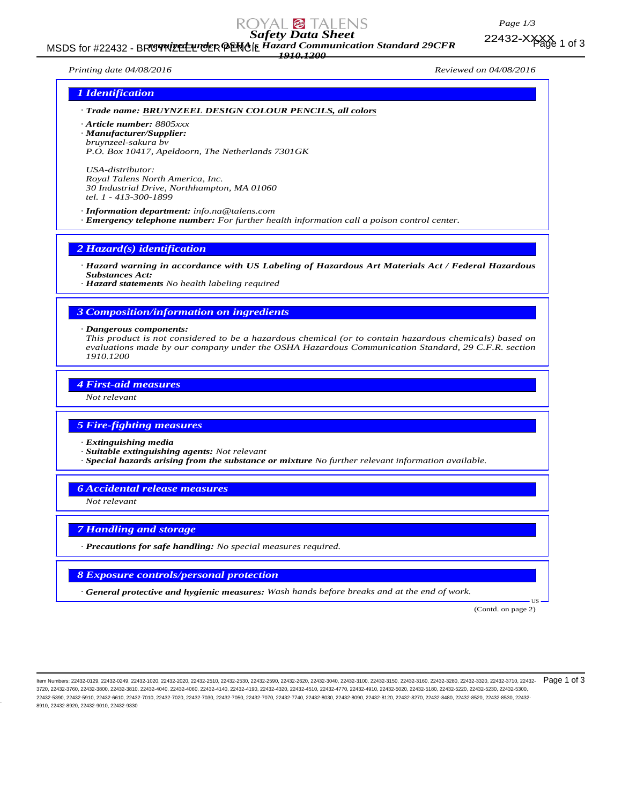

# MSDS for #22432 - BRIGYNIZEL LUCK PENGIL Hazard Communication Standard 29CFR<br>MSDS for #22432 - BRIGYNIZEL LUCK PENGIL Hazard Communication Standard 29CFR *1910.1200*

*Page 1/3* 22432-XXXX 1 of 3

*Printing date 04/08/2016 Reviewed on 04/08/2016*

# *1 Identification*

# *· Trade name: BRUYNZEEL DESIGN COLOUR PENCILS, all colors*

*· Article number: 8805xxx · Manufacturer/Supplier: bruynzeel-sakura bv*

*P.O. Box 10417, Apeldoorn, The Netherlands 7301GK*

*USA-distributor: Royal Talens North America, Inc. 30 Industrial Drive, Northhampton, MA 01060 tel. 1 - 413-300-1899*

*· Information department: info.na@talens.com · Emergency telephone number: For further health information call a poison control center.*

*2 Hazard(s) identification*

*· Hazard warning in accordance with US Labeling of Hazardous Art Materials Act / Federal Hazardous Substances Act:*

*· Hazard statements No health labeling required*

# *3 Composition/information on ingredients*

#### *· Dangerous components:*

*This product is not considered to be a hazardous chemical (or to contain hazardous chemicals) based on evaluations made by our company under the OSHA Hazardous Communication Standard, 29 C.F.R. section 1910.1200*

# *4 First-aid measures*

*Not relevant*

### *5 Fire-fighting measures*

*· Extinguishing media*

- *· Suitable extinguishing agents: Not relevant*
- *· Special hazards arising from the substance or mixture No further relevant information available.*

### *6 Accidental release measures*

*Not relevant*

# *7 Handling and storage*

*· Precautions for safe handling: No special measures required.*

# *8 Exposure controls/personal protection*

*· General protective and hygienic measures: Wash hands before breaks and at the end of work.*

(Contd. on page 2)

US

ltem Numbers: 22432-0129, 22432-0249, 22432-1020, 22432-2030, 22432-2510, 22432-2530, 22432-2530, 22432-3240, 22432-3100, 22432-3160, 22432-3160, 22432-3280, 22432-3280, 22432-3320, 22432-3710, 22432-3710, 22432-3160, 2243 3720, 22432-3760, 22432-3800, 22432-3810, 22432-4040, 22432-4060, 22432-4140, 22432-4190, 22432-4320, 22432-4510, 22432-4770, 22432-4910, 22432-5020, 22432-5180, 22432-5220, 22432-5230, 22432-5300, 22432-5390, 22432-5910, 22432-6610, 22432-7010, 22432-7020, 22432-7030, 22432-7050, 22432-7070, 22432-7740, 22432-8030, 22432-8090, 22432-8120, 22432-8270, 22432-8480, 22432-8520, 22432-8530, 22432- 8910, 22432-8920, 22432-9010, 22432-9330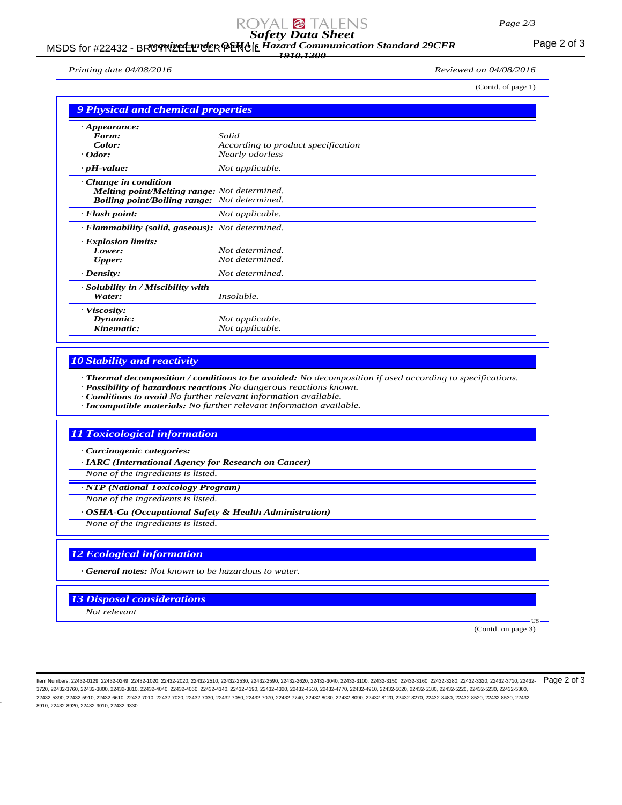# *Safety Data Sheet*

# MSDS for #22432 - BRIGYNIZELLINGER PENGIL Hazard Communication Standard 29CFR<br>MSDS for #22432 - BRIGYNIZELLINGER PENGIL Hazard Communication Standard 29CFR *1910.1200*

*Printing date 04/08/2016 Reviewed on 04/08/2016*

(Contd. of page 1)

| <b>9 Physical and chemical properties</b>           |                                    |
|-----------------------------------------------------|------------------------------------|
|                                                     |                                    |
| $\cdot$ Appearance:<br>Form:                        | Solid                              |
| Color:                                              | According to product specification |
| $\cdot$ Odor:                                       | Nearly odorless                    |
| $\cdot$ pH-value:                                   | Not applicable.                    |
| $\cdot$ Change in condition                         |                                    |
| <b>Melting point/Melting range:</b> Not determined. |                                    |
| <b>Boiling point/Boiling range:</b> Not determined. |                                    |
| $\cdot$ Flash point:                                | Not applicable.                    |
| · Flammability (solid, gaseous): Not determined.    |                                    |
| · Explosion limits:                                 |                                    |
| Lower:                                              | Not determined.                    |
| <b>Upper:</b>                                       | Not determined.                    |
| $\cdot$ Density:                                    | Not determined.                    |
| · Solubility in / Miscibility with                  |                                    |
| Water:                                              | Insoluble.                         |
| · Viscosity:                                        |                                    |
| Dynamic:                                            | Not applicable.                    |
| Kinematic:                                          | Not applicable.                    |

# *10 Stability and reactivity*

*· Thermal decomposition / conditions to be avoided: No decomposition if used according to specifications.*

- *· Possibility of hazardous reactions No dangerous reactions known.*
- *· Conditions to avoid No further relevant information available.*
- *· Incompatible materials: No further relevant information available.*

# *11 Toxicological information*

*· Carcinogenic categories:*

*· IARC (International Agency for Research on Cancer)*

*None of the ingredients is listed.*

*· NTP (National Toxicology Program)*

*None of the ingredients is listed.*

*· OSHA-Ca (Occupational Safety & Health Administration)*

*None of the ingredients is listed.*

# *12 Ecological information*

*· General notes: Not known to be hazardous to water.*

*13 Disposal considerations*

*Not relevant*

(Contd. on page 3)

US

ltem Numbers: 22432-0129, 22432-0249, 22432-1020, 22432-2030, 22432-2510, 22432-2530, 22432-2530, 22432-3240, 22432-3100, 22432-3160, 22432-3160, 22432-3280, 22432-3280, 22432-3320, 22432-3710, 22432-3710, 22432-3160, 2243 3720, 22432-3760, 22432-3800, 22432-3810, 22432-4040, 22432-4060, 22432-4140, 22432-4190, 22432-4320, 22432-4510, 22432-4770, 22432-4910, 22432-5020, 22432-5180, 22432-5220, 22432-5230, 22432-5300, 22432-5390, 22432-5910, 22432-6610, 22432-7010, 22432-7020, 22432-7030, 22432-7050, 22432-7070, 22432-7740, 22432-8030, 22432-8090, 22432-8120, 22432-8270, 22432-8480, 22432-8520, 22432-8530, 22432- 8910, 22432-8920, 22432-9010, 22432-9330